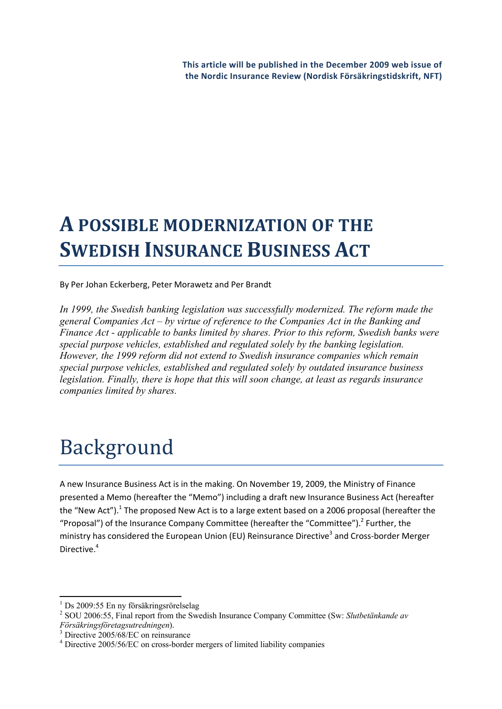# **A POSSIBLE MODERNIZATION OF THE SWEDISH INSURANCE BUSINESS ACT**

By Per Johan Eckerberg, Peter Morawetz and Per Brandt

*In 1999, the Swedish banking legislation was successfully modernized. The reform made the general Companies Act – by virtue of reference to the Companies Act in the Banking and Finance Act - applicable to banks limited by shares. Prior to this reform, Swedish banks were special purpose vehicles, established and regulated solely by the banking legislation. However, the 1999 reform did not extend to Swedish insurance companies which remain special purpose vehicles, established and regulated solely by outdated insurance business legislation. Finally, there is hope that this will soon change, at least as regards insurance companies limited by shares.*

# Background

A new Insurance Business Act is in the making. On November 19, 2009, the Ministry of Finance presented a Memo (hereafter the "Memo") including a draft new Insurance Business Act (hereafter the "New Act").<sup>1</sup> The proposed New Act is to a large extent based on a 2006 proposal (hereafter the "Proposal") of the Insurance Company Committee (hereafter the "Committee"). $2$  Further, the ministry has considered the European Union (EU) Reinsurance Directive<sup>3</sup> and Cross-border Merger Directive.<sup>4</sup>

<sup>&</sup>lt;sup>1</sup> Ds 2009:55 En ny försäkringsrörelselag

<sup>2</sup> SOU 2006:55, Final report from the Swedish Insurance Company Committee (Sw: *Slutbetänkande av Försäkringsföretagsutredningen*).

<sup>&</sup>lt;sup>3</sup> Directive 2005/68/EC on reinsurance

<sup>&</sup>lt;sup>4</sup> Directive 2005/56/EC on cross-border mergers of limited liability companies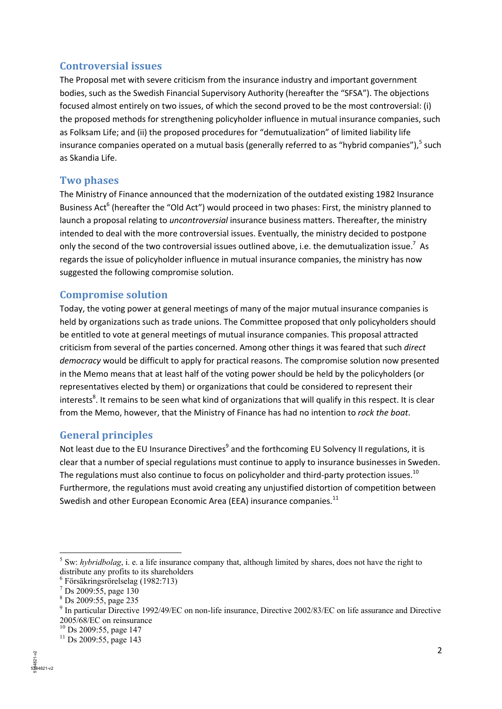# **Controversial issues**

The Proposal met with severe criticism from the insurance industry and important government bodies, such as the Swedish Financial Supervisory Authority (hereafter the "SFSA"). The objections focused almost entirely on two issues, of which the second proved to be the most controversial: (i) the proposed methods for strengthening policyholder influence in mutual insurance companies, such as Folksam Life; and (ii) the proposed procedures for "demutualization" of limited liability life insurance companies operated on a mutual basis (generally referred to as "hybrid companies"), 5 such as Skandia Life.

### **Two phases**

The Ministry of Finance announced that the modernization of the outdated existing 1982 Insurance Business Act<sup>6</sup> (hereafter the "Old Act") would proceed in two phases: First, the ministry planned to launch a proposal relating to *uncontroversial* insurance business matters. Thereafter, the ministry intended to deal with the more controversial issues. Eventually, the ministry decided to postpone only the second of the two controversial issues outlined above, i.e. the demutualization issue.<sup>7</sup> As regards the issue of policyholder influence in mutual insurance companies, the ministry has now suggested the following compromise solution.

### **Compromise solution**

Today, the voting power at general meetings of many of the major mutual insurance companies is held by organizations such as trade unions. The Committee proposed that only policyholders should be entitled to vote at general meetings of mutual insurance companies. This proposal attracted criticism from several of the parties concerned. Among other things it was feared that such *direct democracy* would be difficult to apply for practical reasons. The compromise solution now presented in the Memo means that at least half of the voting power should be held by the policyholders (or representatives elected by them) or organizations that could be considered to represent their interests<sup>8</sup>. It remains to be seen what kind of organizations that will qualify in this respect. It is clear from the Memo, however, that the Ministry of Finance has had no intention to *rock the boat*.

# **General principles**

Not least due to the EU Insurance Directives<sup>9</sup> and the forthcoming EU Solvency II regulations, it is clear that a number of special regulations must continue to apply to insurance businesses in Sweden. The regulations must also continue to focus on policyholder and third-party protection issues.<sup>10</sup> Furthermore, the regulations must avoid creating any unjustified distortion of competition between Swedish and other European Economic Area (EEA) insurance companies.<sup>11</sup>

<sup>10</sup> Ds 2009:55, page 147

<sup>&</sup>lt;sup>5</sup> Sw: *hybridbolag*, i. e. a life insurance company that, although limited by shares, does not have the right to distribute any profits to its shareholders

<sup>6</sup> Försäkringsrörelselag (1982:713)

<sup>7</sup> Ds 2009:55, page 130

<sup>8</sup> Ds 2009:55, page 235

<sup>&</sup>lt;sup>9</sup> In particular Directive 1992/49/EC on non-life insurance, Directive 2002/83/EC on life assurance and Directive 2005/68/EC on reinsurance

 $11$  Ds 2009:55, page 143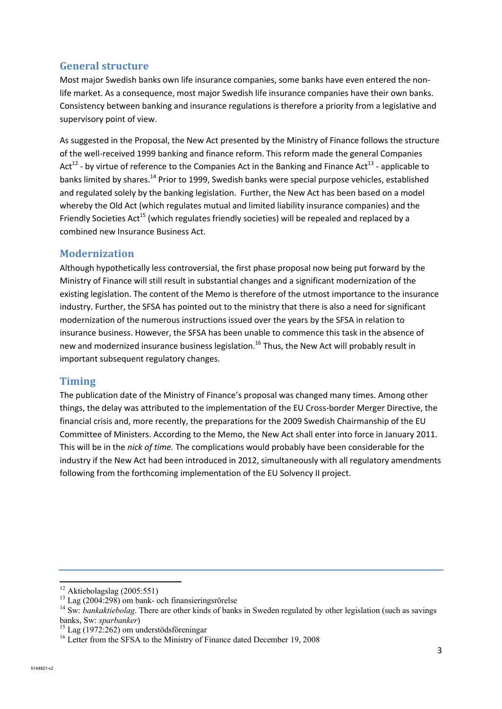### **General structure**

Most major Swedish banks own life insurance companies, some banks have even entered the nonlife market. As a consequence, most major Swedish life insurance companies have their own banks. Consistency between banking and insurance regulations is therefore a priority from a legislative and supervisory point of view.

As suggested in the Proposal, the New Act presented by the Ministry of Finance follows the structure of the well-received 1999 banking and finance reform. This reform made the general Companies Act<sup>12</sup> - by virtue of reference to the Companies Act in the Banking and Finance Act<sup>13</sup> - applicable to banks limited by shares.<sup>14</sup> Prior to 1999, Swedish banks were special purpose vehicles, established and regulated solely by the banking legislation. Further, the New Act has been based on a model whereby the Old Act (which regulates mutual and limited liability insurance companies) and the Friendly Societies Act<sup>15</sup> (which regulates friendly societies) will be repealed and replaced by a combined new Insurance Business Act.

#### **Modernization**

Although hypothetically less controversial, the first phase proposal now being put forward by the Ministry of Finance will still result in substantial changes and a significant modernization of the existing legislation. The content of the Memo is therefore of the utmost importance to the insurance industry. Further, the SFSA has pointed out to the ministry that there is also a need for significant modernization of the numerous instructions issued over the years by the SFSA in relation to insurance business. However, the SFSA has been unable to commence this task in the absence of new and modernized insurance business legislation.<sup>16</sup> Thus, the New Act will probably result in important subsequent regulatory changes.

### **Timing**

The publication date of the Ministry of Finance's proposal was changed many times. Among other things, the delay was attributed to the implementation of the EU Cross-border Merger Directive, the financial crisis and, more recently, the preparations for the 2009 Swedish Chairmanship of the EU Committee of Ministers. According to the Memo, the New Act shall enter into force in January 2011. This will be in the *nick of time.* The complications would probably have been considerable for the industry if the New Act had been introduced in 2012, simultaneously with all regulatory amendments following from the forthcoming implementation of the EU Solvency II project.

 $12$  Aktiebolagslag (2005:551)

<sup>&</sup>lt;sup>13</sup> Lag (2004:298) om bank- och finansieringsrörelse

<sup>&</sup>lt;sup>14</sup> Sw: *bankaktiebolag*. There are other kinds of banks in Sweden regulated by other legislation (such as savings banks, Sw: *sparbanker*)

 $15$  Lag (1972:262) om understödsföreningar

<sup>&</sup>lt;sup>16</sup> Letter from the SFSA to the Ministry of Finance dated December 19, 2008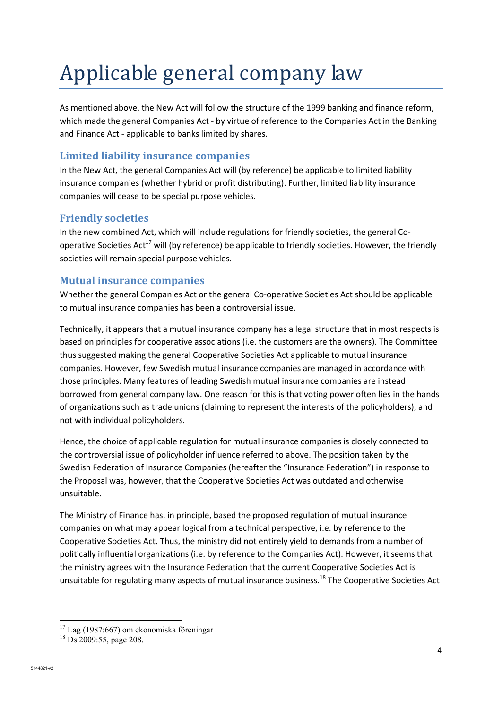# Applicable general company law

As mentioned above, the New Act will follow the structure of the 1999 banking and finance reform, which made the general Companies Act - by virtue of reference to the Companies Act in the Banking and Finance Act - applicable to banks limited by shares.

# **Limited liability insurance companies**

In the New Act, the general Companies Act will (by reference) be applicable to limited liability insurance companies (whether hybrid or profit distributing). Further, limited liability insurance companies will cease to be special purpose vehicles.

# **Friendly societies**

In the new combined Act, which will include regulations for friendly societies, the general Cooperative Societies Act<sup>17</sup> will (by reference) be applicable to friendly societies. However, the friendly societies will remain special purpose vehicles.

#### **Mutual insurance companies**

Whether the general Companies Act or the general Co-operative Societies Act should be applicable to mutual insurance companies has been a controversial issue.

Technically, it appears that a mutual insurance company has a legal structure that in most respects is based on principles for cooperative associations (i.e. the customers are the owners). The Committee thus suggested making the general Cooperative Societies Act applicable to mutual insurance companies. However, few Swedish mutual insurance companies are managed in accordance with those principles. Many features of leading Swedish mutual insurance companies are instead borrowed from general company law. One reason for this is that voting power often lies in the hands of organizations such as trade unions (claiming to represent the interests of the policyholders), and not with individual policyholders.

Hence, the choice of applicable regulation for mutual insurance companies is closely connected to the controversial issue of policyholder influence referred to above. The position taken by the Swedish Federation of Insurance Companies (hereafter the "Insurance Federation") in response to the Proposal was, however, that the Cooperative Societies Act was outdated and otherwise unsuitable.

The Ministry of Finance has, in principle, based the proposed regulation of mutual insurance companies on what may appear logical from a technical perspective, i.e. by reference to the Cooperative Societies Act. Thus, the ministry did not entirely yield to demands from a number of politically influential organizations (i.e. by reference to the Companies Act). However, it seems that the ministry agrees with the Insurance Federation that the current Cooperative Societies Act is unsuitable for regulating many aspects of mutual insurance business.<sup>18</sup> The Cooperative Societies Act

<sup>17</sup> Lag (1987:667) om ekonomiska föreningar

<sup>&</sup>lt;sup>18</sup> Ds 2009:55, page 208.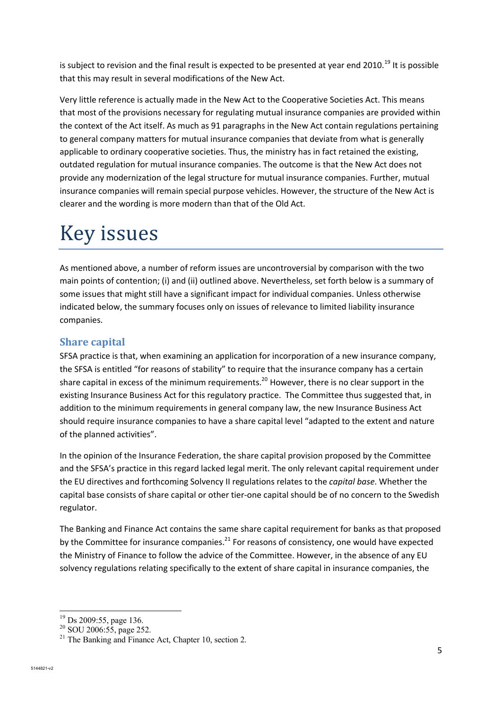is subject to revision and the final result is expected to be presented at year end 2010.<sup>19</sup> It is possible that this may result in several modifications of the New Act.

Very little reference is actually made in the New Act to the Cooperative Societies Act. This means that most of the provisions necessary for regulating mutual insurance companies are provided within the context of the Act itself. As much as 91 paragraphs in the New Act contain regulations pertaining to general company matters for mutual insurance companies that deviate from what is generally applicable to ordinary cooperative societies. Thus, the ministry has in fact retained the existing, outdated regulation for mutual insurance companies. The outcome is that the New Act does not provide any modernization of the legal structure for mutual insurance companies. Further, mutual insurance companies will remain special purpose vehicles. However, the structure of the New Act is clearer and the wording is more modern than that of the Old Act.

# Key issues

As mentioned above, a number of reform issues are uncontroversial by comparison with the two main points of contention; (i) and (ii) outlined above. Nevertheless, set forth below is a summary of some issues that might still have a significant impact for individual companies. Unless otherwise indicated below, the summary focuses only on issues of relevance to limited liability insurance companies.

# **Share capital**

SFSA practice is that, when examining an application for incorporation of a new insurance company, the SFSA is entitled "for reasons of stability" to require that the insurance company has a certain share capital in excess of the minimum requirements.<sup>20</sup> However, there is no clear support in the existing Insurance Business Act for this regulatory practice. The Committee thus suggested that, in addition to the minimum requirements in general company law, the new Insurance Business Act should require insurance companies to have a share capital level "adapted to the extent and nature of the planned activities".

In the opinion of the Insurance Federation, the share capital provision proposed by the Committee and the SFSA's practice in this regard lacked legal merit. The only relevant capital requirement under the EU directives and forthcoming Solvency II regulations relates to the *capital base*. Whether the capital base consists of share capital or other tier-one capital should be of no concern to the Swedish regulator.

The Banking and Finance Act contains the same share capital requirement for banks as that proposed by the Committee for insurance companies. $^{21}$  For reasons of consistency, one would have expected the Ministry of Finance to follow the advice of the Committee. However, in the absence of any EU solvency regulations relating specifically to the extent of share capital in insurance companies, the

<sup>&</sup>lt;sup>19</sup> Ds 2009:55, page 136.

 $20$  SOU 2006:55, page 252.

<sup>&</sup>lt;sup>21</sup> The Banking and Finance Act, Chapter 10, section 2.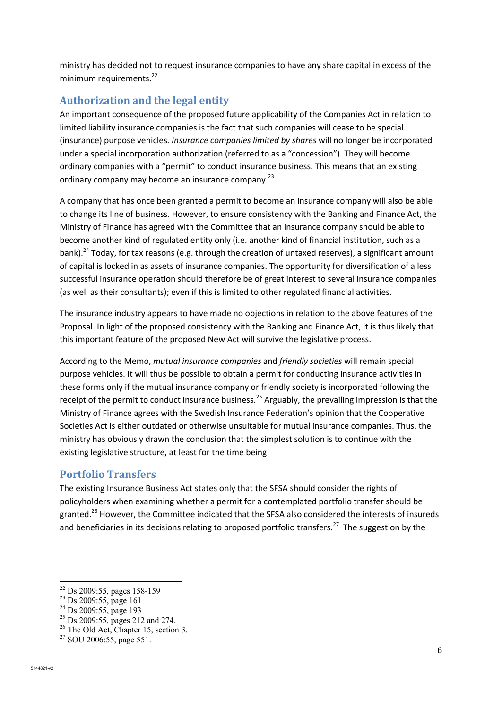ministry has decided not to request insurance companies to have any share capital in excess of the minimum requirements.<sup>22</sup>

# **Authorization and the legal entity**

An important consequence of the proposed future applicability of the Companies Act in relation to limited liability insurance companies is the fact that such companies will cease to be special (insurance) purpose vehicles*. Insurance companies limited by shares* will no longer be incorporated under a special incorporation authorization (referred to as a "concession"). They will become ordinary companies with a "permit" to conduct insurance business. This means that an existing ordinary company may become an insurance company.<sup>23</sup>

A company that has once been granted a permit to become an insurance company will also be able to change its line of business. However, to ensure consistency with the Banking and Finance Act, the Ministry of Finance has agreed with the Committee that an insurance company should be able to become another kind of regulated entity only (i.e. another kind of financial institution, such as a bank).<sup>24</sup> Today, for tax reasons (e.g. through the creation of untaxed reserves), a significant amount of capital is locked in as assets of insurance companies. The opportunity for diversification of a less successful insurance operation should therefore be of great interest to several insurance companies (as well as their consultants); even if this is limited to other regulated financial activities.

The insurance industry appears to have made no objections in relation to the above features of the Proposal. In light of the proposed consistency with the Banking and Finance Act, it is thus likely that this important feature of the proposed New Act will survive the legislative process.

According to the Memo, *mutual insurance companies* and *friendly societies* will remain special purpose vehicles. It will thus be possible to obtain a permit for conducting insurance activities in these forms only if the mutual insurance company or friendly society is incorporated following the receipt of the permit to conduct insurance business.<sup>25</sup> Arguably, the prevailing impression is that the Ministry of Finance agrees with the Swedish Insurance Federation's opinion that the Cooperative Societies Act is either outdated or otherwise unsuitable for mutual insurance companies. Thus, the ministry has obviously drawn the conclusion that the simplest solution is to continue with the existing legislative structure, at least for the time being.

### **Portfolio Transfers**

The existing Insurance Business Act states only that the SFSA should consider the rights of policyholders when examining whether a permit for a contemplated portfolio transfer should be granted.<sup>26</sup> However, the Committee indicated that the SFSA also considered the interests of insureds and beneficiaries in its decisions relating to proposed portfolio transfers.<sup>27</sup> The suggestion by the

<sup>22</sup> Ds 2009:55, pages 158-159

 $^{23}$  Ds 2009:55, page 161

<sup>&</sup>lt;sup>24</sup> Ds 2009:55, page 193

<sup>25</sup> Ds 2009:55, pages 212 and 274.

<sup>&</sup>lt;sup>26</sup> The Old Act, Chapter 15, section 3.

<sup>&</sup>lt;sup>27</sup> SOU 2006:55, page 551.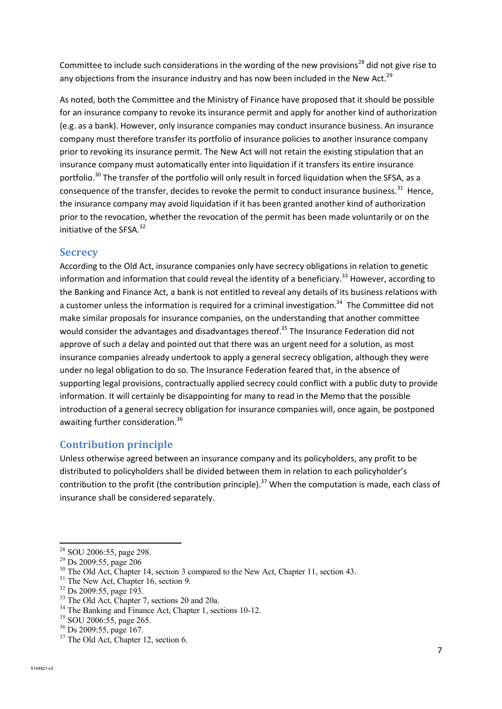Committee to include such considerations in the wording of the new provisions<sup>28</sup> did not give rise to any objections from the insurance industry and has now been included in the New Act.<sup>29</sup>

As noted, both the Committee and the Ministry of Finance have proposed that it should be possible for an insurance company to revoke its insurance permit and apply for another kind of authorization (e.g. as a bank). However, only insurance companies may conduct insurance business. An insurance company must therefore transfer its portfolio of insurance policies to another insurance company prior to revoking its insurance permit. The New Act will not retain the existing stipulation that an insurance company must automatically enter into liquidation if it transfers its entire insurance portfolio.<sup>30</sup> The transfer of the portfolio will only result in forced liquidation when the SFSA, as a consequence of the transfer, decides to revoke the permit to conduct insurance business.<sup>31</sup> Hence, the insurance company may avoid liquidation if it has been granted another kind of authorization prior to the revocation, whether the revocation of the permit has been made voluntarily or on the initiative of the SFSA.<sup>32</sup>

#### **Secrecy**

According to the Old Act, insurance companies only have secrecy obligations in relation to genetic information and information that could reveal the identity of a beneficiary.<sup>33</sup> However, according to the Banking and Finance Act, a bank is not entitled to reveal any details of its business relations with a customer unless the information is required for a criminal investigation.<sup>34</sup> The Committee did not make similar proposals for insurance companies, on the understanding that another committee would consider the advantages and disadvantages thereof.<sup>35</sup> The Insurance Federation did not approve of such a delay and pointed out that there was an urgent need for a solution, as most insurance companies already undertook to apply a general secrecy obligation, although they were under no legal obligation to do so. The Insurance Federation feared that, in the absence of supporting legal provisions, contractually applied secrecy could conflict with a public duty to provide information. It will certainly be disappointing for many to read in the Memo that the possible introduction of a general secrecy obligation for insurance companies will, once again, be postponed awaiting further consideration.<sup>36</sup>

#### **Contribution principle**

Unless otherwise agreed between an insurance company and its policyholders, any profit to be distributed to policyholders shall be divided between them in relation to each policyholder's contribution to the profit (the contribution principle).<sup>37</sup> When the computation is made, each class of insurance shall be considered separately.

 $28$  SOU 2006:55, page 298.

<sup>&</sup>lt;sup>29</sup> Ds 2009:55, page 206

<sup>&</sup>lt;sup>30</sup> The Old Act, Chapter 14, section 3 compared to the New Act, Chapter 11, section 43.

<sup>&</sup>lt;sup>31</sup> The New Act, Chapter 16, section 9.

<sup>&</sup>lt;sup>32</sup> Ds 2009:55, page 193.

<sup>&</sup>lt;sup>33</sup> The Old Act, Chapter 7, sections 20 and 20a.

<sup>&</sup>lt;sup>34</sup> The Banking and Finance Act, Chapter 1, sections 10-12.

<sup>&</sup>lt;sup>35</sup> SOU 2006:55, page 265.

<sup>36</sup> Ds 2009:55, page 167.

<sup>&</sup>lt;sup>37</sup> The Old Act, Chapter 12, section 6.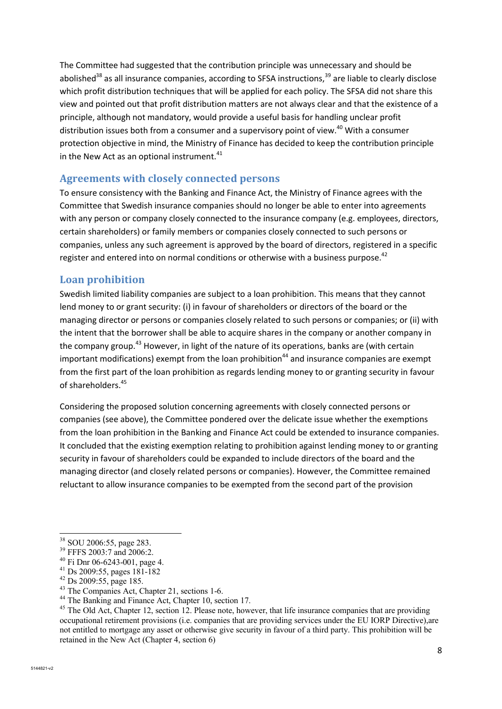The Committee had suggested that the contribution principle was unnecessary and should be abolished<sup>38</sup> as all insurance companies, according to SFSA instructions.<sup>39</sup> are liable to clearly disclose which profit distribution techniques that will be applied for each policy. The SFSA did not share this view and pointed out that profit distribution matters are not always clear and that the existence of a principle, although not mandatory, would provide a useful basis for handling unclear profit distribution issues both from a consumer and a supervisory point of view.<sup>40</sup> With a consumer protection objective in mind, the Ministry of Finance has decided to keep the contribution principle in the New Act as an optional instrument. $41$ 

#### **Agreements with closely connected persons**

To ensure consistency with the Banking and Finance Act, the Ministry of Finance agrees with the Committee that Swedish insurance companies should no longer be able to enter into agreements with any person or company closely connected to the insurance company (e.g. employees, directors, certain shareholders) or family members or companies closely connected to such persons or companies, unless any such agreement is approved by the board of directors, registered in a specific register and entered into on normal conditions or otherwise with a business purpose.<sup>42</sup>

#### **Loan prohibition**

Swedish limited liability companies are subject to a loan prohibition. This means that they cannot lend money to or grant security: (i) in favour of shareholders or directors of the board or the managing director or persons or companies closely related to such persons or companies; or (ii) with the intent that the borrower shall be able to acquire shares in the company or another company in the company group.<sup>43</sup> However, in light of the nature of its operations, banks are (with certain important modifications) exempt from the loan prohibition $44$  and insurance companies are exempt from the first part of the loan prohibition as regards lending money to or granting security in favour of shareholders.<sup>45</sup>

Considering the proposed solution concerning agreements with closely connected persons or companies (see above), the Committee pondered over the delicate issue whether the exemptions from the loan prohibition in the Banking and Finance Act could be extended to insurance companies. It concluded that the existing exemption relating to prohibition against lending money to or granting security in favour of shareholders could be expanded to include directors of the board and the managing director (and closely related persons or companies). However, the Committee remained reluctant to allow insurance companies to be exempted from the second part of the provision

<sup>38</sup> SOU 2006:55, page 283.

<sup>39</sup> FFFS 2003:7 and 2006:2.

<sup>40</sup> Fi Dnr 06-6243-001, page 4.

<sup>41</sup> Ds 2009:55, pages 181-182

 $42$  Ds 2009:55, page 185.

<sup>43</sup> The Companies Act, Chapter 21, sections 1-6.

<sup>&</sup>lt;sup>44</sup> The Banking and Finance Act, Chapter 10, section 17.

<sup>&</sup>lt;sup>45</sup> The Old Act, Chapter 12, section 12. Please note, however, that life insurance companies that are providing occupational retirement provisions (i.e. companies that are providing services under the EU IORP Directive),are not entitled to mortgage any asset or otherwise give security in favour of a third party. This prohibition will be retained in the New Act (Chapter 4, section 6)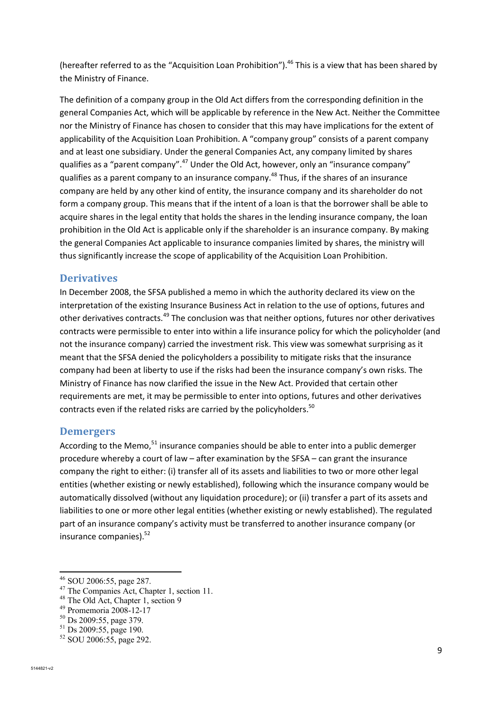(hereafter referred to as the "Acquisition Loan Prohibition").<sup>46</sup> This is a view that has been shared by the Ministry of Finance.

The definition of a company group in the Old Act differs from the corresponding definition in the general Companies Act, which will be applicable by reference in the New Act. Neither the Committee nor the Ministry of Finance has chosen to consider that this may have implications for the extent of applicability of the Acquisition Loan Prohibition. A "company group" consists of a parent company and at least one subsidiary. Under the general Companies Act, any company limited by shares qualifies as a "parent company".<sup>47</sup> Under the Old Act, however, only an "insurance company" qualifies as a parent company to an insurance company.<sup>48</sup> Thus, if the shares of an insurance company are held by any other kind of entity, the insurance company and its shareholder do not form a company group. This means that if the intent of a loan is that the borrower shall be able to acquire shares in the legal entity that holds the shares in the lending insurance company, the loan prohibition in the Old Act is applicable only if the shareholder is an insurance company. By making the general Companies Act applicable to insurance companies limited by shares, the ministry will thus significantly increase the scope of applicability of the Acquisition Loan Prohibition.

#### **Derivatives**

In December 2008, the SFSA published a memo in which the authority declared its view on the interpretation of the existing Insurance Business Act in relation to the use of options, futures and other derivatives contracts.<sup>49</sup> The conclusion was that neither options, futures nor other derivatives contracts were permissible to enter into within a life insurance policy for which the policyholder (and not the insurance company) carried the investment risk. This view was somewhat surprising as it meant that the SFSA denied the policyholders a possibility to mitigate risks that the insurance company had been at liberty to use if the risks had been the insurance company's own risks. The Ministry of Finance has now clarified the issue in the New Act. Provided that certain other requirements are met, it may be permissible to enter into options, futures and other derivatives contracts even if the related risks are carried by the policyholders.<sup>50</sup>

#### **Demergers**

According to the Memo, $51$  insurance companies should be able to enter into a public demerger procedure whereby a court of law – after examination by the SFSA – can grant the insurance company the right to either: (i) transfer all of its assets and liabilities to two or more other legal entities (whether existing or newly established), following which the insurance company would be automatically dissolved (without any liquidation procedure); or (ii) transfer a part of its assets and liabilities to one or more other legal entities (whether existing or newly established). The regulated part of an insurance company's activity must be transferred to another insurance company (or insurance companies).<sup>52</sup>

<sup>46</sup> SOU 2006:55, page 287.

<sup>47</sup> The Companies Act, Chapter 1, section 11.

<sup>&</sup>lt;sup>48</sup> The Old Act, Chapter 1, section 9

<sup>49</sup> Promemoria 2008-12-17

<sup>50</sup> Ds 2009:55, page 379.

<sup>51</sup> Ds 2009:55, page 190.

<sup>&</sup>lt;sup>52</sup> SOU 2006:55, page 292.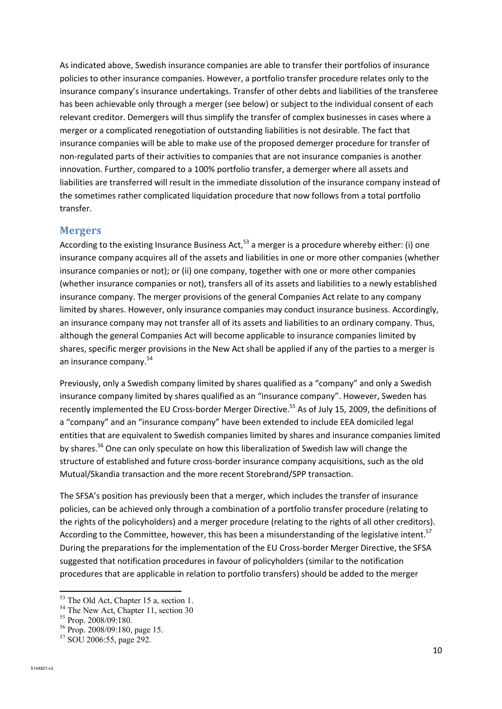As indicated above, Swedish insurance companies are able to transfer their portfolios of insurance policies to other insurance companies. However, a portfolio transfer procedure relates only to the insurance company's insurance undertakings. Transfer of other debts and liabilities of the transferee has been achievable only through a merger (see below) or subject to the individual consent of each relevant creditor. Demergers will thus simplify the transfer of complex businesses in cases where a merger or a complicated renegotiation of outstanding liabilities is not desirable. The fact that insurance companies will be able to make use of the proposed demerger procedure for transfer of non-regulated parts of their activities to companies that are not insurance companies is another innovation. Further, compared to a 100% portfolio transfer, a demerger where all assets and liabilities are transferred will result in the immediate dissolution of the insurance company instead of the sometimes rather complicated liquidation procedure that now follows from a total portfolio transfer.

#### **Mergers**

According to the existing Insurance Business Act,  $53$  a merger is a procedure whereby either: (i) one insurance company acquires all of the assets and liabilities in one or more other companies (whether insurance companies or not); or (ii) one company, together with one or more other companies (whether insurance companies or not), transfers all of its assets and liabilities to a newly established insurance company. The merger provisions of the general Companies Act relate to any company limited by shares. However, only insurance companies may conduct insurance business. Accordingly, an insurance company may not transfer all of its assets and liabilities to an ordinary company. Thus, although the general Companies Act will become applicable to insurance companies limited by shares, specific merger provisions in the New Act shall be applied if any of the parties to a merger is an insurance company. 54

Previously, only a Swedish company limited by shares qualified as a "company" and only a Swedish insurance company limited by shares qualified as an "insurance company". However, Sweden has recently implemented the EU Cross-border Merger Directive.<sup>55</sup> As of July 15, 2009, the definitions of a "company" and an "insurance company" have been extended to include EEA domiciled legal entities that are equivalent to Swedish companies limited by shares and insurance companies limited by shares.<sup>56</sup> One can only speculate on how this liberalization of Swedish law will change the structure of established and future cross-border insurance company acquisitions, such as the old Mutual/Skandia transaction and the more recent Storebrand/SPP transaction.

The SFSA's position has previously been that a merger, which includes the transfer of insurance policies, can be achieved only through a combination of a portfolio transfer procedure (relating to the rights of the policyholders) and a merger procedure (relating to the rights of all other creditors). According to the Committee, however, this has been a misunderstanding of the legislative intent.<sup>57</sup> During the preparations for the implementation of the EU Cross-border Merger Directive, the SFSA suggested that notification procedures in favour of policyholders (similar to the notification procedures that are applicable in relation to portfolio transfers) should be added to the merger

<sup>53</sup> The Old Act, Chapter 15 a, section 1.

<sup>&</sup>lt;sup>54</sup> The New Act, Chapter 11, section 30

<sup>55</sup> Prop. 2008/09:180.

<sup>56</sup> Prop. 2008/09:180, page 15.

<sup>57</sup> SOU 2006:55, page 292.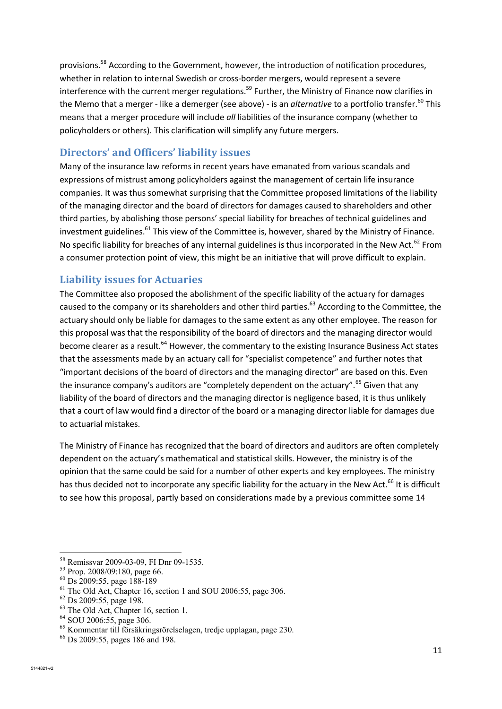provisions.<sup>58</sup> According to the Government, however, the introduction of notification procedures, whether in relation to internal Swedish or cross-border mergers, would represent a severe interference with the current merger regulations.<sup>59</sup> Further, the Ministry of Finance now clarifies in the Memo that a merger - like a demerger (see above) - is an *alternative* to a portfolio transfer.<sup>60</sup> This means that a merger procedure will include *all* liabilities of the insurance company (whether to policyholders or others). This clarification will simplify any future mergers.

#### **Directors' and Officers' liability issues**

Many of the insurance law reforms in recent years have emanated from various scandals and expressions of mistrust among policyholders against the management of certain life insurance companies. It was thus somewhat surprising that the Committee proposed limitations of the liability of the managing director and the board of directors for damages caused to shareholders and other third parties, by abolishing those persons' special liability for breaches of technical guidelines and investment guidelines. $61$  This view of the Committee is, however, shared by the Ministry of Finance. No specific liability for breaches of any internal guidelines is thus incorporated in the New Act.<sup>62</sup> From a consumer protection point of view, this might be an initiative that will prove difficult to explain.

#### **Liability issues for Actuaries**

The Committee also proposed the abolishment of the specific liability of the actuary for damages caused to the company or its shareholders and other third parties.<sup>63</sup> According to the Committee, the actuary should only be liable for damages to the same extent as any other employee. The reason for this proposal was that the responsibility of the board of directors and the managing director would become clearer as a result.<sup>64</sup> However, the commentary to the existing Insurance Business Act states that the assessments made by an actuary call for "specialist competence" and further notes that "important decisions of the board of directors and the managing director" are based on this. Even the insurance company's auditors are "completely dependent on the actuary".<sup>65</sup> Given that any liability of the board of directors and the managing director is negligence based, it is thus unlikely that a court of law would find a director of the board or a managing director liable for damages due to actuarial mistakes.

The Ministry of Finance has recognized that the board of directors and auditors are often completely dependent on the actuary's mathematical and statistical skills. However, the ministry is of the opinion that the same could be said for a number of other experts and key employees. The ministry has thus decided not to incorporate any specific liability for the actuary in the New Act.<sup>66</sup> It is difficult to see how this proposal, partly based on considerations made by a previous committee some 14

<sup>58</sup> Remissvar 2009-03-09, FI Dnr 09-1535.

<sup>59</sup> Prop. 2008/09:180, page 66.

<sup>60</sup> Ds 2009:55, page 188-189

 $61$  The Old Act, Chapter 16, section 1 and SOU 2006:55, page 306.

<sup>62</sup> Ds 2009:55, page 198.

<sup>&</sup>lt;sup>63</sup> The Old Act, Chapter 16, section 1.

<sup>64</sup> SOU 2006:55, page 306.

<sup>65</sup> Kommentar till försäkringsrörelselagen, tredje upplagan, page 230.

<sup>66</sup> Ds 2009:55, pages 186 and 198.